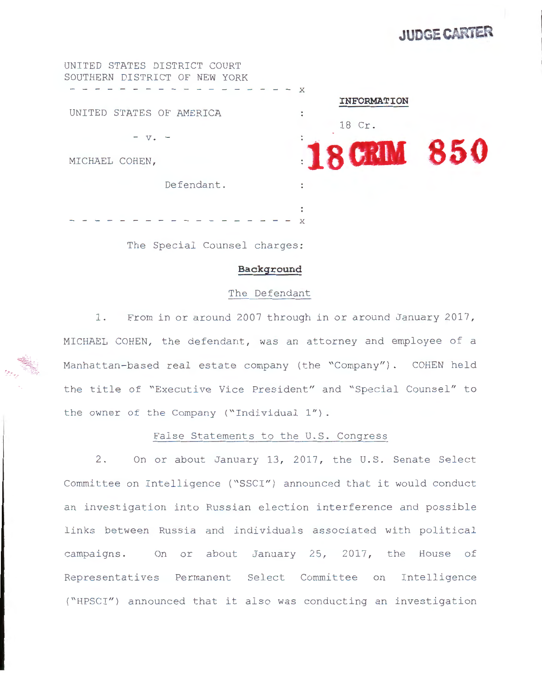# **JUDGE CARTER**

UNITED STATES DISTRICT COURT SOUTHERN DISTRICT OF **NEW** YORK  $- - - x$ **INFORMATION**  UNITED STATES OF AMERICA 18 Cr .  $- v$  .  $-$ MICHAEL COHEN, **18 CRIM 850** Defendant. - - - - - - - - - - - - - - x

The Special Counsel charges:

#### **Background**

#### The Defendant

1. From in or around 2007 through in or around January 2017, MICHAEL COHEN, the defendant, was an attorney and employee of a Manhattan-based real estate company (the "Company"). COHEN held the title of "Executive Vice President" and "Special Counsel" to the owner of the Company ("Individual  $1"$ ).

## False Statements to the U.S. Congress

2. On or about January 13, 2017, the U.S. Senate Select Committee on Intelligence ("SSCI") announced that it would conduct an investigation into Russian election interference and possible links between Russia and individuals associated with political campaigns. On or about January 25, 2017, the House of Representatives Permanent Select Committee on Intelligence ("HPSCI") announced that it also was conducting an investigation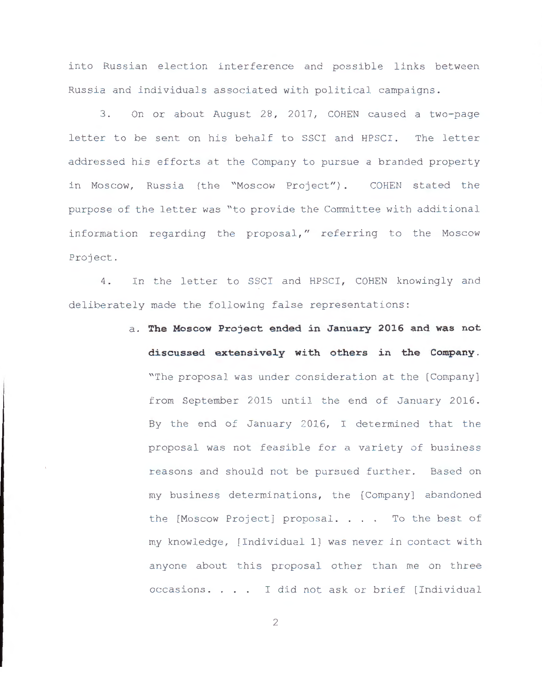into Russian election interference and possible links between Russia and individuals associated with political campaigns .

3. On or about August 28, 2017, COHEN caused a two-page letter to be sent on his behalf to SSCI and HPSCI. The letter addressed his efforts at the Company to pursue a branded property in Moscow, Russia (the "Moscow Project"). COHEN stated the purpose of the letter was "to provide the Committee with additional information regarding the proposal," referring to the Moscow Project .

4. In the letter to SSCI and HPSCI, COHEN knowingly and deliberately made the following false representations:

> a . **The Moscow Project ended in January 201 6 and was not discussed extensively with others in the Company.**  "The proposal was under consideration at the [Company] from September 2015 until the end of January 2016. By the end of January 2016, I determined that the proposal was not feasible for a variety of business reasons and should not be pursued further. Based on my business determinations, the [Company] abandoned the [Moscow Project] proposal. . . . To the best of my knowledge , [Individual l] was never in contact with anyone about this proposal other than me on three occasions . I did not ask or brief [Individual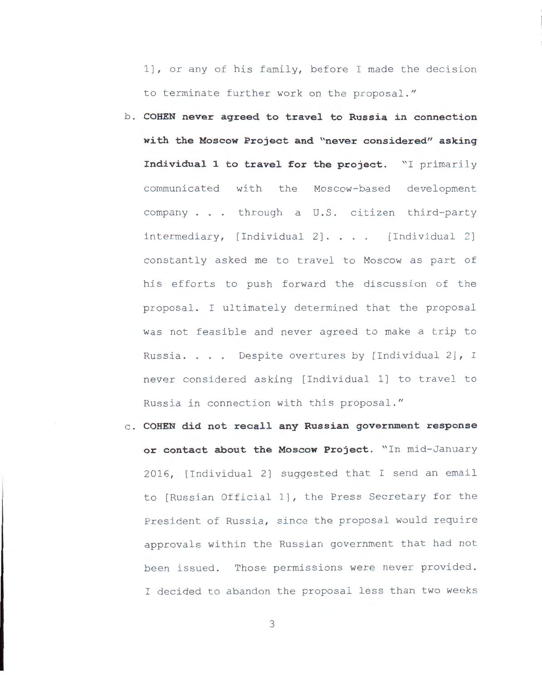1], or any of his family, before I made the decision to terminate further work on the proposal ."

- b . **COHEN never agreed to travel to Russia in connection with the Moscow Project and "never considered" asking Individual 1 to travel for the project.** "I primarily communicated with the Moscow- based development company . . . through a U.S. citizen third-party  $intermediary, [Individual 2].... [Individual 2]$ constantly asked me to travel to Moscow as part of his efforts to push forward the discussion of the proposal . I ultimately determined that the proposal was not feasible and never agreed to make a trip to Russia. . . . Despite overtures by [Individual 2], I never considered asking [Individual l] to travel to Russia in connection with this proposal ."
- c . **COHEN did not recall any Russian government response or contact about the Moscow Project.** " In mid- January 2016 , [Individual 2] suggested that I send an email to [Russian Official l] , the Press Secretary for the President of Russia, since the proposal would require approvals within the Russian government that had not been issued. Those permissions were never provided. I decided to abandon the proposal less than two weeks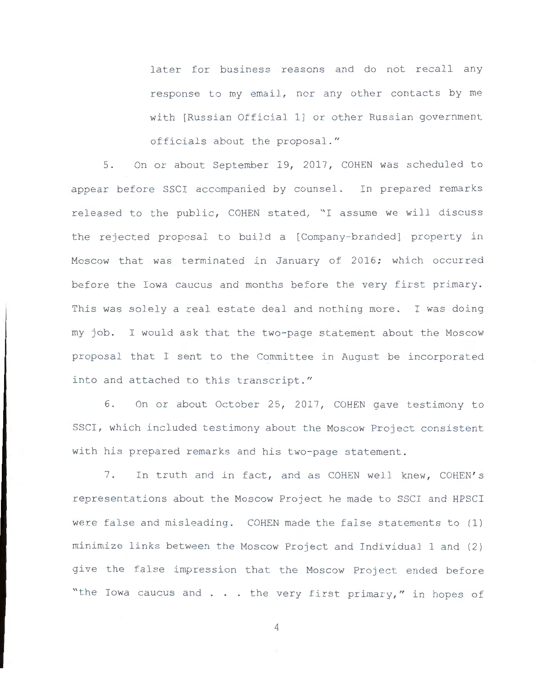later for business reasons and do not recall any response to my email, nor any other contacts by me with [Russian Official l] or other Russian government officials about the proposal ."

5. On or about September 19, 2017, COHEN was scheduled to appear before SSCI accompanied by counsel. In prepared remarks released to the public, COHEN stated, "I assume we will discuss the rejected proposal to build a [Company-branded] property in Moscow that was terminated in January of 2016; which occurred before the Iowa caucus and months before the very first primary. This was solely a real estate deal and nothing more. I was doing my job. I would ask that the two-page statement about the Moscow proposal that I sent to the Committee in August be incorporated into and attached to this transcript. "

6. On or about October 25, 2017, COHEN gave testimony to SSCI, which included testimony about the Moscow Project consistent with his prepared remarks and his two-page statement.

7. In truth and in fact, and as COHEN well knew, COHEN's representations about the Moscow Project he made to SSCI and HPSCI were false and misleading. COHEN made the false statements to (1) minimize links between the Moscow Project and Individual 1 and (2) give the false impression that the Moscow Project ended before "the Iowa caucus and . . . the very first primary," in hopes of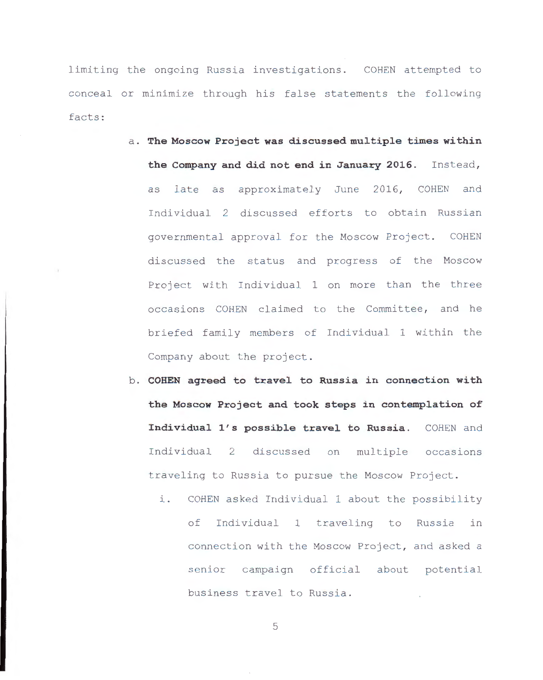limiting the ongoing Russia investigations. COHEN attempted to conceal or minimize through his false statements the following facts :

- a . **The Moscow Project was discussed multiple times within the Company and did not end in January 2016.** Instead, as late as approximately June 2016, COHEN and Individual 2 discussed efforts to obtain Russian governmental approval for the Moscow Project. COHEN discussed the status and progress of the Moscow Project with Individual 1 on more than the three occasions COHEN claimed to the Committee, and he briefed family members of Individual 1 within the Company about the project .
- b. **COHEN agreed to travel to Russia in connection with the Moscow Project and took steps in contemplation of Individual l ' s possible travel to Russia.** COHEN and Individual 2 discussed on multiple occasions traveling to Russia to pursue the Moscow Project .
	- i. COHEN asked Individual 1 about the possibility of Individual 1 traveling to Russia in connection with the Moscow Project, and asked a senior campaign official about potential business travel to Russia.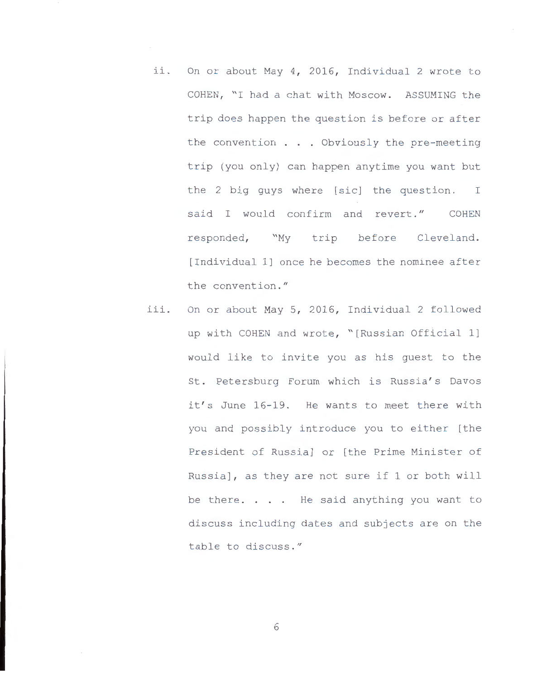- ii. On or about May 4, 2016, Individual 2 wrote to COHEN, "I had a chat with Moscow. ASSUMING the trip does happen the question is before or after the convention . . . Obviously the pre-meeting trip (you only) can happen anytime you want but the 2 big guys where [sic] the question. I said I would confirm and revert." COHEN responded, "My trip before Cleveland. [Individual l] once he becomes the nominee after the convention. "
- iii. On or about May 5, 2016, Individual 2 followed up with COHEN and wrote, "[Russian Official 1] would like to invite you as his guest to the St. Petersburg Forum which is Russia's Davos it's June 16-19. He wants to meet there with you and possibly introduce you to either [the President of Russia] or [the Prime Minister of Russia] , as they are not sure if 1 or both will be there.  $\ldots$  He said anything you want to discuss including dates and subjects are on the table to discuss. "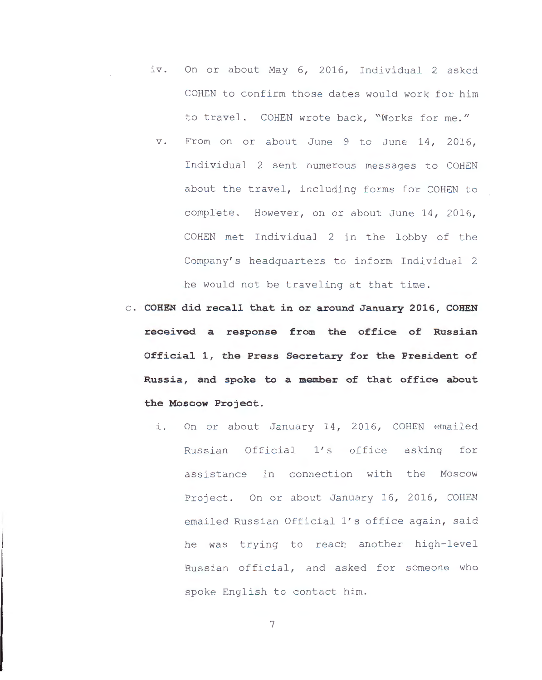- iv. On or about May 6, 2016, Individual 2 asked COHEN to confirm those dates would work for him to travel. COHEN wrote back, "Works for me."
- v. From on or about June 9 to June 14, 2016, Individual 2 sent numerous messages to COHEN about the travel, including forms for COHEN to complete. However, on or about June 14, 2016, COHEN met Individual 2 in the lobby of the Company's headquarters to inform Individual 2 he would not be traveling at that time.
- c . **COHEN did recall that in or around January 2016, COHEN received a response from the office of Russian Official 1, the Press Secretary for the President of Russia, and spoke to a member of that office about the Moscow Project.** 
	- i. On or about January 14, 2016, COHEN emailed Russian Official 1's office asking for assistance in connection with the Moscow Project. On or about January 16, 2016, COHEN emailed Russian Official 1's office again, said he was trying to reach another high-level Russian official, and asked for someone who spoke English to contact him.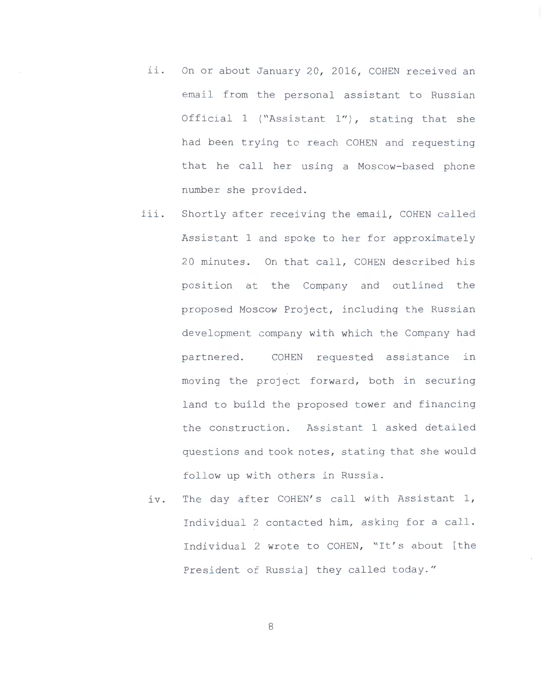- ii. On or about January 20, 2016, COHEN received an email from the personal assistant to Russian Official 1 ("Assistant  $1"$ ), stating that she had been trying to reach COHEN and requesting that he call her using a Moscow-based phone number she provided .
- iii. Shortly after receiving the email, COHEN called Assistant 1 and spoke to her for approximately 20 minutes. On that call, COHEN described his position at the Company and outlined the proposed Moscow Project, including the Russian development company with which the Company had partnered. COHEN requested assistance in moving the project forward, both in securing land to build the proposed tower and financing the construction. Assistant 1 asked detailed questions and took notes, stating that she would follow up with others in Russia.
	- iv. The day after COHEN's call with Assistant 1, Individual 2 contacted him, asking for a call . Individual 2 wrote to COHEN, "It's about [the President of Russia] they called today. "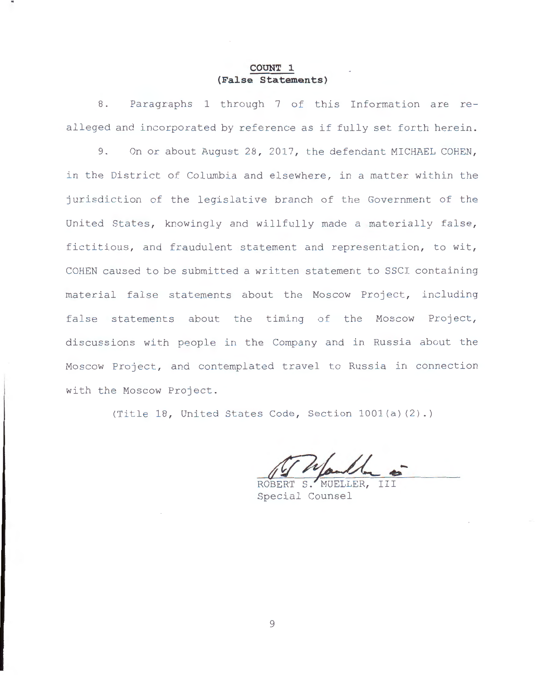## **COUNT 1 (False Statements)**

8. Paragraphs 1 through 7 of this Information are realleged and incorporated by reference as if fully set forth herein.

9. On or about August 28, 2017, the defendant MICHAEL COHEN, in the District of Columbia and elsewhere, in a matter within the jurisdiction of the legislative branch of the Government of the United States, knowingly and willfully made a materially false, fictitious, and fraudulent statement and representation, to wit, COHEN caused to be submitted a written statement to SSCI containing material false statements about the Moscow Project, including false statements about the timing of the Moscow Project, discussions with people in the Company and in Russia about the Moscow Project, and contemplated travel to Russia in connection with the Moscow Project.

(Title 18, United States Code, Section  $1001(a)(2)$ .)

ROBERT S MUELLER, Special Counsel